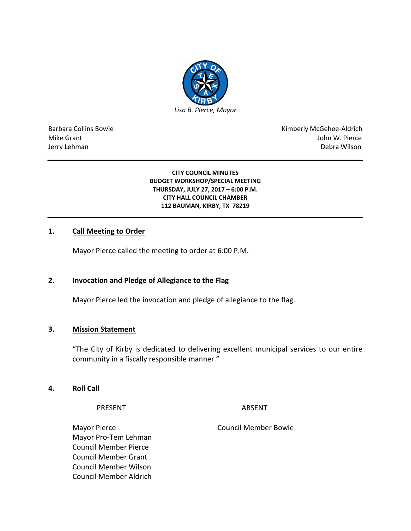

Barbara Collins Bowie **Kimberly McGehee-Aldrich** Mike Grant John W. Pierce Jerry Lehman Debra Wilson (2008) and the state of the state of the state of the state of the state of the state of the state of the state of the state of the state of the state of the state of the state of the state of the

#### **CITY COUNCIL MINUTES BUDGET WORKSHOP/SPECIAL MEETING THURSDAY, JULY 27, 2017 – 6:00 P.M. CITY HALL COUNCIL CHAMBER 112 BAUMAN, KIRBY, TX 78219**

## **1. Call Meeting to Order**

Mayor Pierce called the meeting to order at 6:00 P.M.

## **2. Invocation and Pledge of Allegiance to the Flag**

Mayor Pierce led the invocation and pledge of allegiance to the flag.

# **3. Mission Statement**

"The City of Kirby is dedicated to delivering excellent municipal services to our entire community in a fiscally responsible manner."

## **4. Roll Call**

PRESENT ABSENT

Mayor Pierce **Council Member Bowie** Council Member Bowie Mayor Pro-Tem Lehman Council Member Pierce Council Member Grant Council Member Wilson Council Member Aldrich